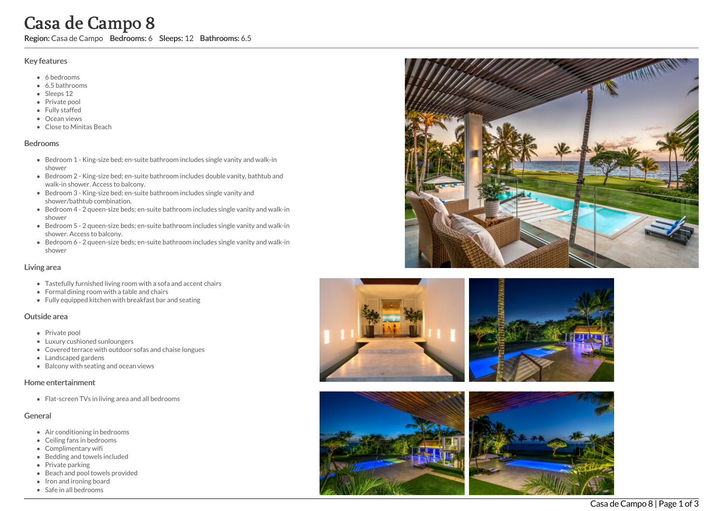# Casa de Campo 8

Region: Casa de Campo Bedrooms: 6 Sleeps: 12 Bathrooms: 6.5

#### Key features

- 6 b e d r o o m s
- 6.5 b a t h r o o m s
- Sleeps 12
- Private pool
- Fully staffed
- Ocean views
- Close to Minitas Beach

#### **Bedrooms**

- Bedroom 1 King-size bed; en-suite bathroom includes single vanity and walk-in s h o w e r
- Bedroom 2 King-size bed; en-suite bathroom includes double vanity, bathtub and walk-in shower. Access to balcony.
- Bedroom 3 King-size bed; en-suite bathroom includes single vanity and shower/bathtub combination.
- Bedroom 4 2 queen-size beds; en-suite bathroom includes single vanity and walk-in s h o w e r
- Bedroom 5 2 queen-size beds; en-suite bathroom includes single vanity and walk-in shower. Access to balcony.
- Bedroom 6 2 queen-size beds; en-suite bathroom includes single vanity and walk-in s h o w e r

#### Living area

- Tastefully furnished living room with a sofa and accent chairs
- Formal dining room with a table and chairs
- Fully equipped kitchen with breakfast bar and seating

#### Outside area

- Private pool
- Luxury cushioned sunloungers
- Covered terrace with outdoor sofas and chaise longues
- Landscaped gardens
- Balcony with seating and ocean views

#### Home entertainment

Flat-screen TVs in living area and all bedrooms

### General

- Air conditioning in bedrooms
- Ceiling fans in bedrooms
- Complimentary wifi
- Bedding and towels in clu d e d
- Private parking
- Beach and pool towels provided
- Iron and ironing board
- Safe in all bedrooms









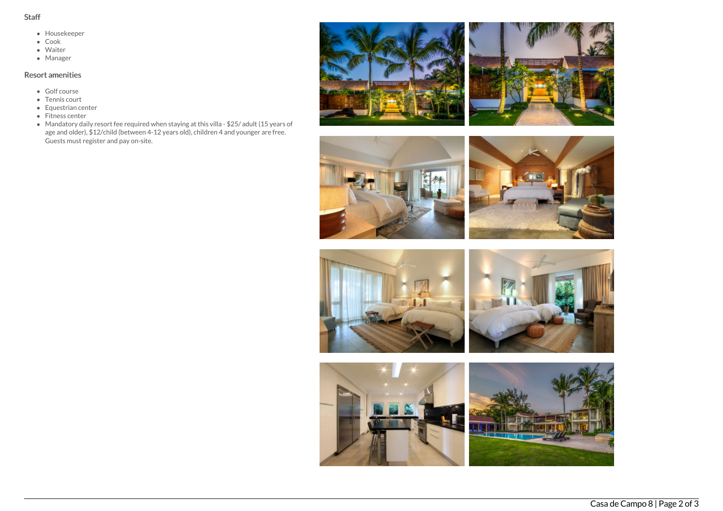- Staff
	- Housekeeper
	- Cook
	- Waiter
	- Manager

## Resort amenities

- Golf course
- Tennis court
- Equestrian center
- Fitness center
- Mandatory daily resort fee required when staying at this villa \$25/ adult (15 years of age and older), \$12/child (between 4-12 years old), children 4 and younger are free. Guests must register and pay on-site.